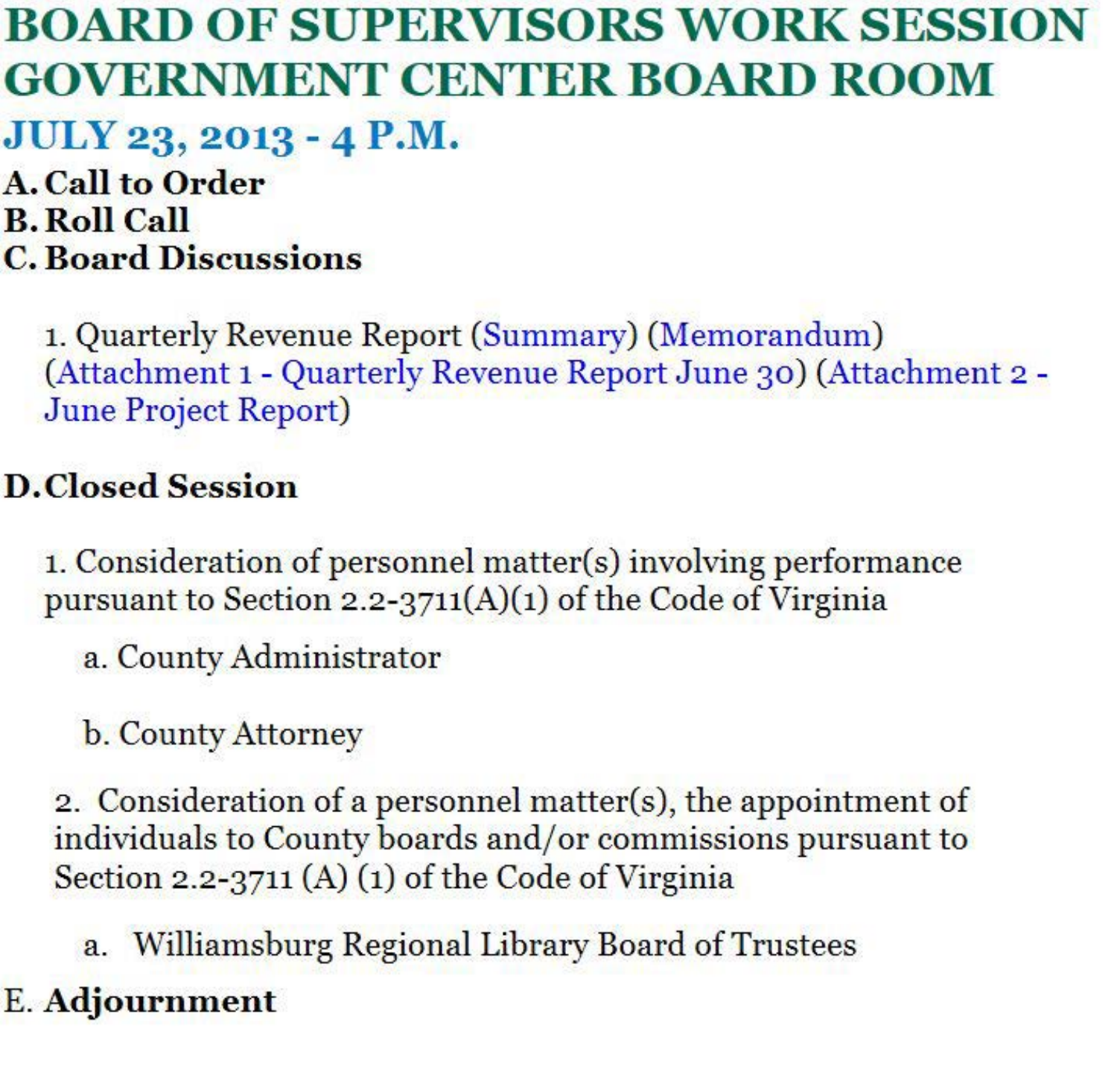## **BOARD OF SUPERVISORS WORK SESSION GOVERNMENT CENTER BOARD ROOM**

**JULY 23, 2013 - 4 P.M.** 

**A. Call to Order B.Roll Call C. Board Discussions** 

> 1. Quarterly Revenue Report (Summary) (Memorandum) (Attachment 1 - Quarterly Revenue Report June 30) (Attachment 2 - June Project Report)

## **D.Closed Session**

1. Consideration of personnel matter(s) involving performance pursuant to Section 2.2-3711(A)(1) of the Code of Virginia

a. County Administrator

b. County Attorney

2. Consideration of a personnel matter(s), the appointment of individuals to County boards and/or commissions pursuant to Section 2.2-3711 (A) (1) of the Code of Virginia

a. Williamsburg Regional Library Board of Trustees

### E. **Adjournment**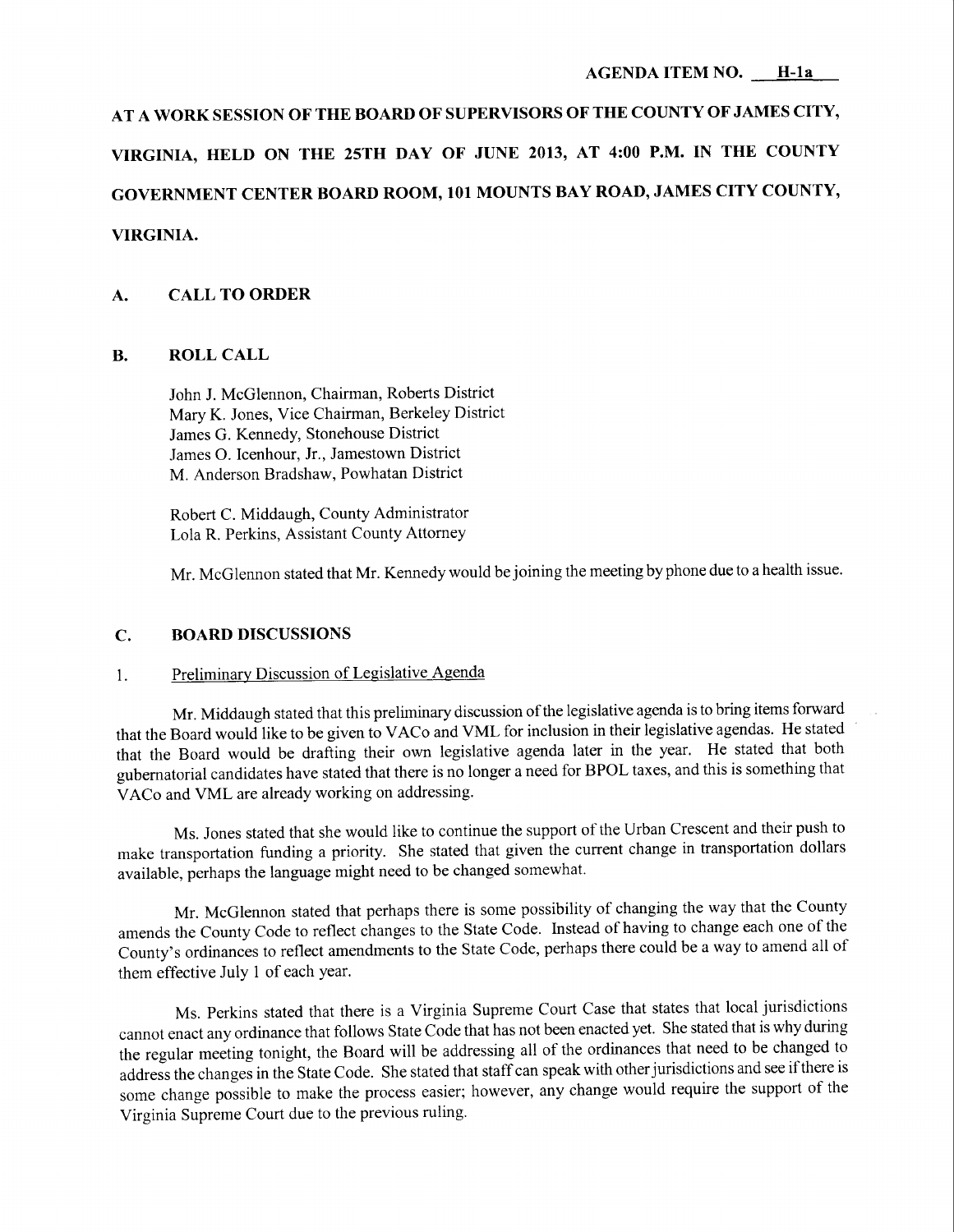# **AT A WORK SESSION OF THE BOARD OF SUPERVISORS OF THE COUNTY OF JAMES CITY, VIRGINIA, HELD ON THE 25TH DAY OF JUNE 2013, AT 4:00 P.M. IN THE COUNTY GOVERNMENT CENTER BOARD ROOM, 101 MOUNTS BAY ROAD, JAMES CITY COUNTY, VIRGINIA.**

#### **A. CALL TO ORDER**

#### **B. ROLL CALL**

John J. McGlennon, Chairman, Roberts District Mary K. Jones, Vice Chairman, Berkeley District James G. Kennedy, Stonehouse District James 0. Icenhour, Jr., Jamestown District M. Anderson Bradshaw, Powhatan District

Robert C. Middaugh, County Administrator Lola R. Perkins, Assistant County Attorney

Mr. McG lennon stated that Mr. Kennedy would be joining the meeting by phone due to a health issue.

#### **C. BOARD DISCUSSIONS**

#### 1. Preliminary Discussion of Legislative Agenda

Mr. Middaugh stated that this preliminary discussion of the legislative agenda is to bring items forward that the Board would like to be given to V ACo and VML for inclusion in their legislative agendas. He stated that the Board would be drafting their own legislative agenda later in the year. He stated that both gubernatorial candidates have stated that there is no longer a need for BPOL taxes, and this is something that VACo and VML are already working on addressing.

Ms. Jones stated that she would like to continue the support of the Urban Crescent and their push to make transportation funding a priority. She stated that given the current change in transportation dollars available, perhaps the language might need to be changed somewhat.

Mr. McGlennon stated that perhaps there is some possibility of changing the way that the County amends the County Code to reflect changes to the State Code. Instead of having to change each one of the County's ordinances to reflect amendments to the State Code, perhaps there could be a way to amend all of them effective July 1 of each year.

Ms. Perkins stated that there is a Virginia Supreme Court Case that states that local jurisdictions cannot enact any ordinance that follows State Code that has not been enacted yet. She stated that is why during the regular meeting tonight, the Board will be addressing all of the ordinances that need to be changed to address the changes in the State Code. She stated that staff can speak with other jurisdictions and see ifthere is some change possible to make the process easier; however, any change would require the support of the Virginia Supreme Court due to the previous ruling.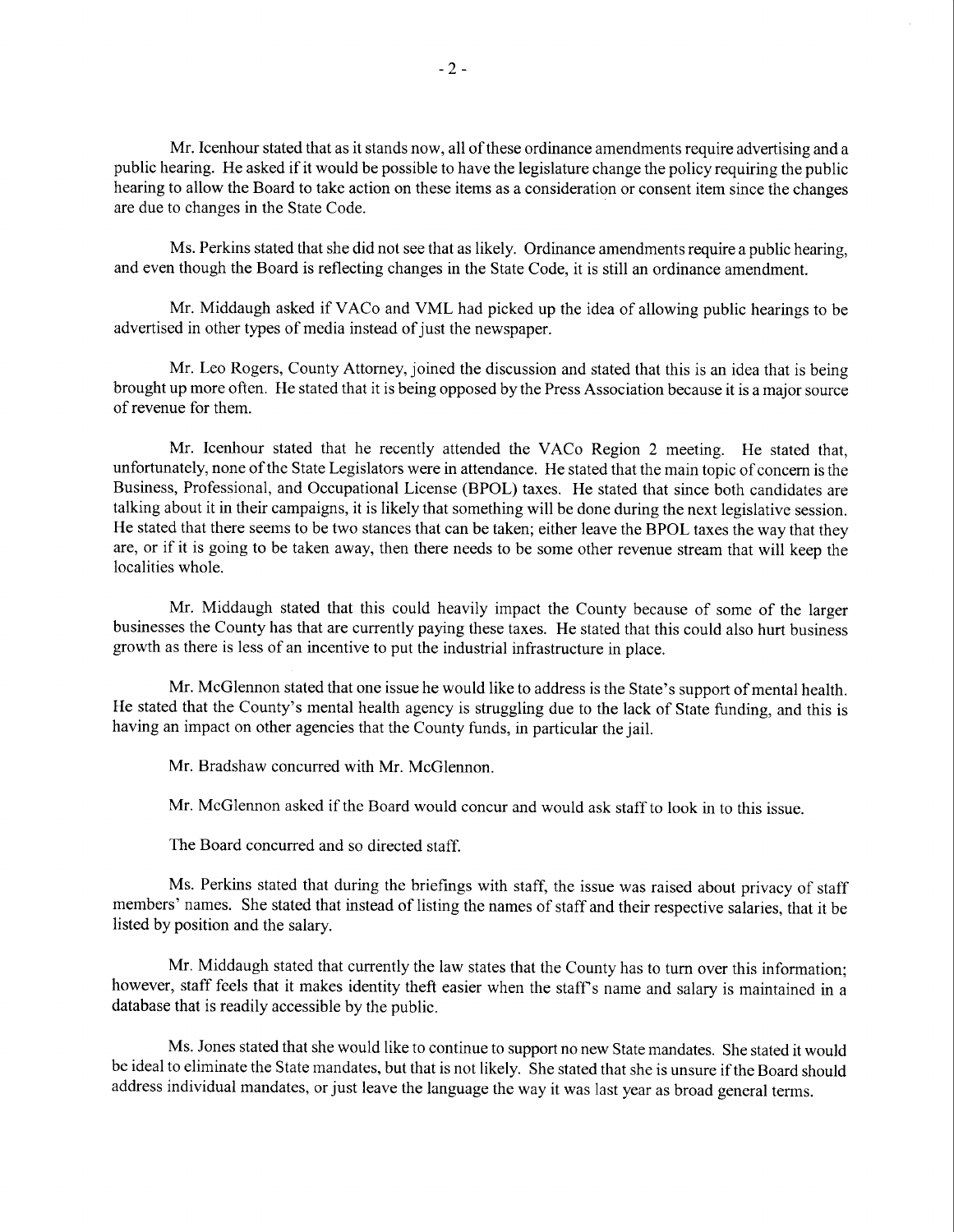Mr. Icenhour stated that as it stands now, all of these ordinance amendments require advertising and a public hearing. He asked if it would be possible to have the legislature change the policy requiring the public hearing to allow the Board to take action on these items as a consideration or consent item since the changes are due to changes in the State Code.

Ms. Perkins stated that she did not see that as likely. Ordinance amendments require a public hearing, and even though the Board is reflecting changes in the State Code, it is still an ordinance amendment.

Mr. Middaugh asked if VACo and VML had picked up the idea of allowing public hearings to be advertised in other types of media instead of just the newspaper.

Mr. Leo Rogers, County Attorney, joined the discussion and stated that this is an idea that is being brought up more often. He stated that it is being opposed by the Press Association because it is a major source of revenue for them.

Mr. Icenhour stated that he recently attended the V ACo Region 2 meeting. He stated that, unfortunately, none of the State Legislators were in attendance. He stated that the main topic of concern is the Business, Professional, and Occupational License (BPOL) taxes. He stated that since both candidates are talking about it in their campaigns, it is likely that something will be done during the next legislative session. He stated that there seems to be two stances that can be taken; either leave the BPOL taxes the way that they are, or if it is going to be taken away, then there needs to be some other revenue stream that will keep the localities whole.

Mr. Middaugh stated that this could heavily impact the County because of some of the larger businesses the County has that are currently paying these taxes. He stated that this could also hurt business growth as there is less of an incentive to put the industrial infrastructure in place.

Mr. McGlennon stated that one issue he would like to address is the State's support of mental health. He stated that the County's mental health agency is struggling due to the lack of State funding, and this is having an impact on other agencies that the County funds, in particular the jail.

Mr. Bradshaw concurred with Mr. McGlennon.

Mr. McGlennon asked if the Board would concur and would ask staff to look in to this issue.

The Board concurred and so directed staff.

Ms. Perkins stated that during the briefings with staff, the issue was raised about privacy of staff members' names. She stated that instead of listing the names of staff and their respective salaries, that it be listed by position and the salary.

Mr. Middaugh stated that currently the law states that the County has to tum over this information; however, staff feels that it makes identity theft easier when the staff's name and salary is maintained in a database that is readily accessible by the public.

Ms. Jones stated that she would like to continue to support no new State mandates. She stated it would be ideal to eliminate the State mandates, but that is not likely. She stated that she is unsure if the Board should address individual mandates, or just leave the language the way it was last year as broad general terms.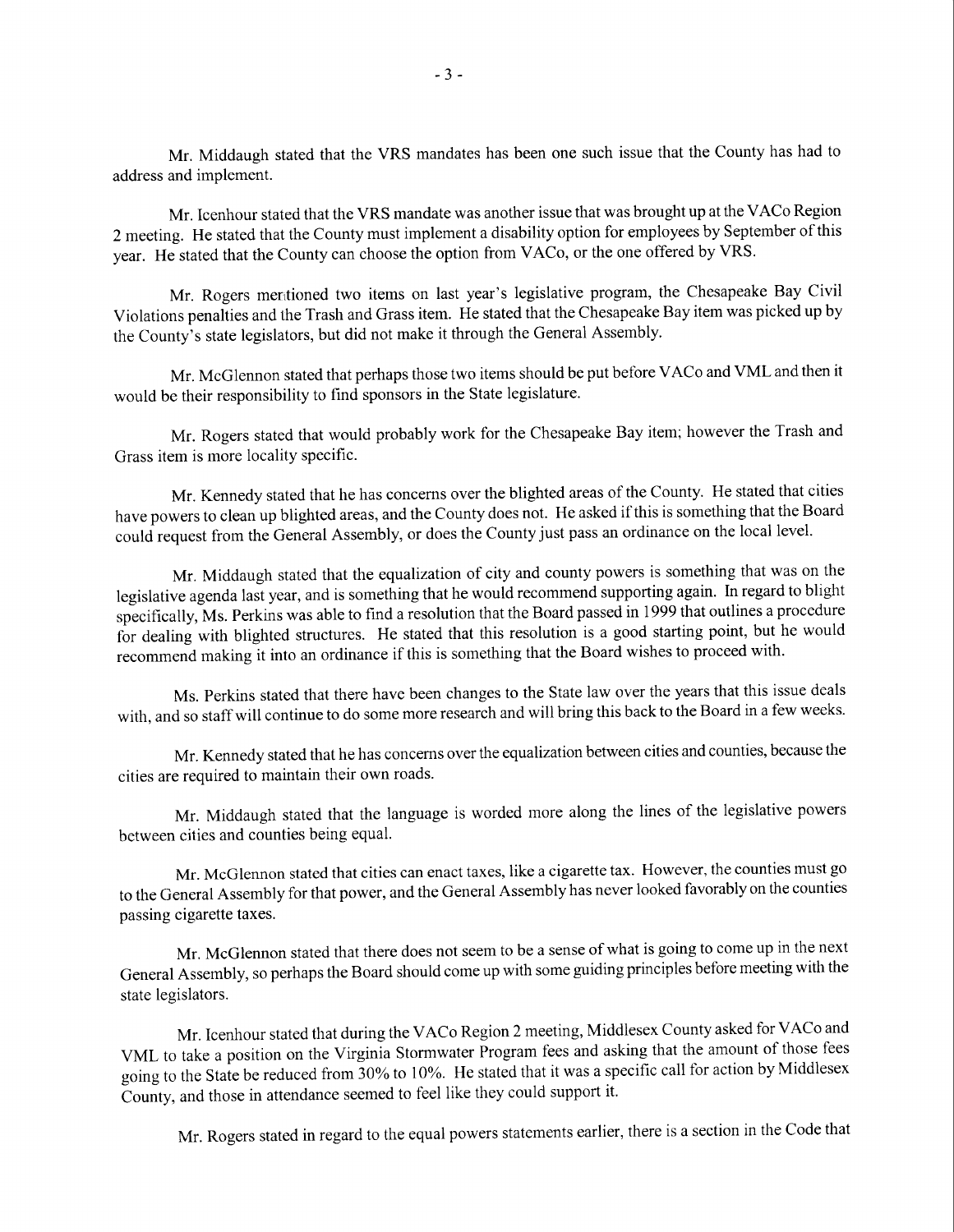Mr. Middaugh stated that the YRS mandates has been one such issue that the County has had to address and implement.

Mr. Icenhour stated that the YRS mandate was another issue that was brought up at the V ACo Region 2 meeting. He stated that the County must implement a disability option for employees by September of this year. He stated that the County can choose the option from VACo, or the one offered by VRS.

Mr. Rogers mentioned two items on last year's legislative program, the Chesapeake Bay Civil Violations penalties and the Trash and Grass item. He stated that the Chesapeake Bay item was picked up by the County's state legislators, but did not make it through the General Assembly.

Mr. McGlennon stated that perhaps those two items should be put before V ACo and VML and then it would be their responsibility to find sponsors in the State legislature.

Mr. Rogers stated that would probably work for the Chesapeake Bay item; however the Trash and Grass item is more locality specific.

Mr. Kennedy stated that he has concerns over the blighted areas of the County. He stated that cities have powers to clean up blighted areas, and the County does not. He asked if this is something that the Board could request from the General Assembly, or does the County just pass an ordinance on the local level.

Mr. Middaugh stated that the equalization of city and county powers is something that was on the legislative agenda last year, and is something that he would recommend supporting again. In regard to blight specifically, Ms. Perkins was able to find a resolution that the Board passed in 1999 that outlines a procedure for dealing with blighted structures. He stated that this resolution is a good starting point, but he would recommend making it into an ordinance if this is something that the Board wishes to proceed with.

Ms. Perkins stated that there have been changes to the State law over the years that this issue deals with, and so staff will continue to do some more research and will bring this back to the Board in a few weeks.

Mr. Kennedy stated that he has concerns over the equalization between cities and counties, because the cities are required to maintain their own roads.

Mr. Middaugh stated that the language is worded more along the lines of the legislative powers between cities and counties being equal.

Mr. McGlennon stated that cities can enact taxes, like a cigarette tax. However, the counties must go to the General Assembly for that power, and the General Assembly has never looked favorably on the counties passing cigarette taxes.

Mr. McGlennon stated that there does not seem to be a sense of what is going to come up in the next General Assembly, so perhaps the Board should come up with some guiding principles before meeting with the state legislators.

Mr. Icenhour stated that during the V ACo Region 2 meeting, Middlesex County asked for V ACo and VML to take a position on the Virginia Stormwater Program fees and asking that the amount of those fees going to the State be reduced from 30% to 10%. He stated that it was a specific call for action by Middlesex County, and those in attendance seemed to feel like they could support it.

Mr. Rogers stated in regard to the equal powers statements earlier, there is a section in the Code that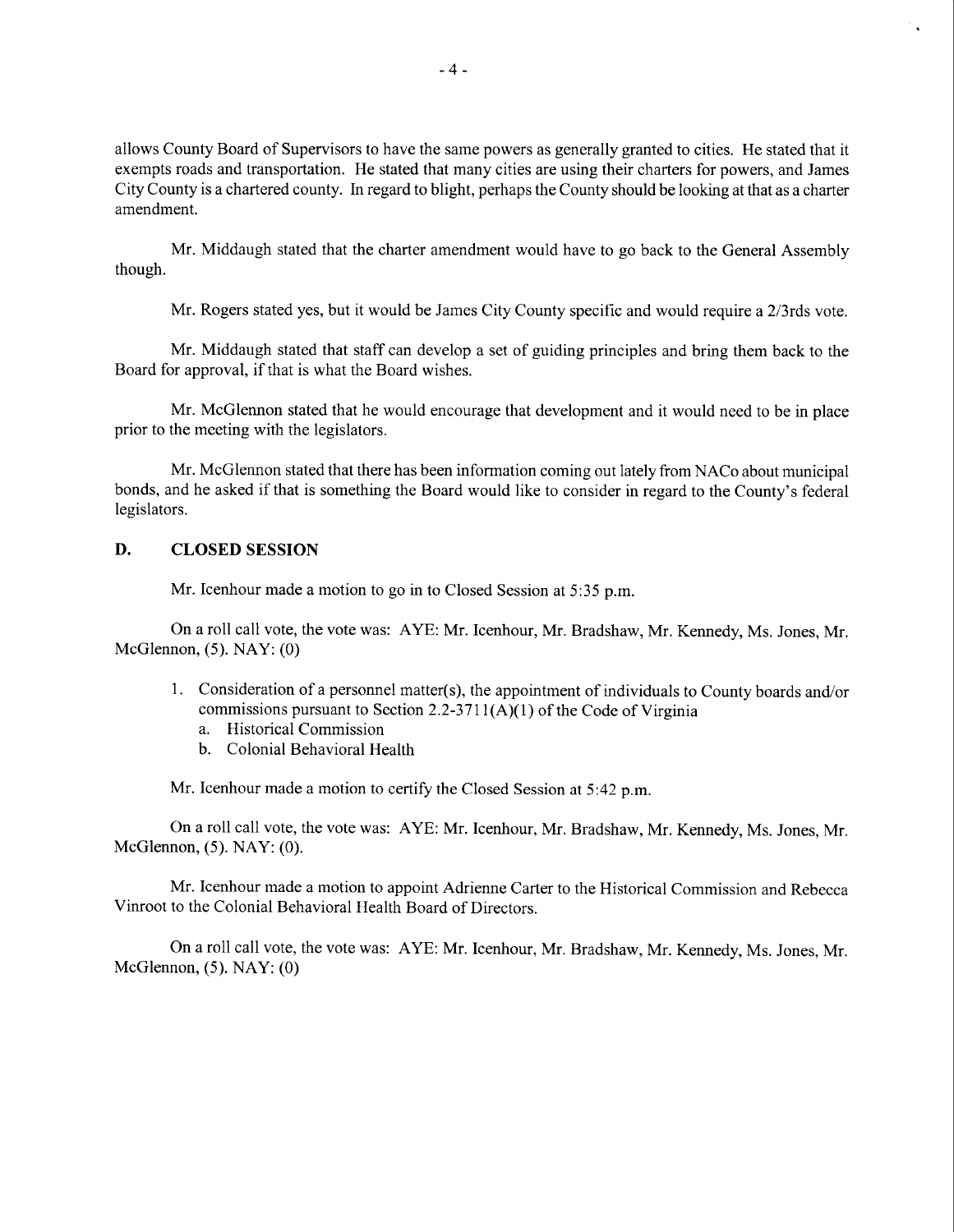allows County Board of Supervisors to have the same powers as generally granted to cities. He stated that it exempts roads and transportation. He stated that many cities are using their charters for powers, and James City County is a chartered county. In regard to blight, perhaps the County should be looking at that as a charter amendment.

Mr. Middaugh stated that the charter amendment would have to go back to the General Assembly though.

Mr. Rogers stated yes, but it would be James City County specific and would require a 2/3rds vote.

Mr. Middaugh stated that staff can develop a set of guiding principles and bring them back to the Board for approval, if that is what the Board wishes.

Mr. McGlennon stated that he would encourage that development and it would need to be in place prior to the meeting with the legislators.

Mr. McGlennon stated that there has been information coming out lately from NACo about municipal bonds, and he asked if that is something the Board would like to consider in regard to the County's federal legislators.

#### **D. CLOSED SESSION**

Mr. Icenhour made a motion to go in to Closed Session at 5:35 p.m.

On a roll call vote, the vote was: A YE: Mr. Icenhour, Mr. Bradshaw, Mr. Kennedy, Ms. Jones, Mr. McGlennon, (5). NAY: (0)

- 1. Consideration of a personnel matter(s), the appointment of individuals to County boards and/or commissions pursuant to Section 2.2-3711(A)(1) of the Code of Virginia
	- a. Historical Commission
	- b. Colonial Behavioral Health

Mr. Icenhour made a motion to certify the Closed Session at 5:42 p.m.

On a roll call vote, the vote was: A YE: Mr. Icenhour, Mr. Bradshaw, Mr. Kennedy, Ms. Jones, Mr. McGlennon, (5). NAY: (0).

Mr. Icenhour made a motion to appoint Adrienne Carter to the Historical Commission and Rebecca Vinroot to the Colonial Behavioral Health Board of Directors.

On a roll call vote, the vote was: A YE: Mr. Icenhour, Mr. Bradshaw, Mr. Kennedy, Ms. Jones, Mr. McGlennon, (5). NAY: (0)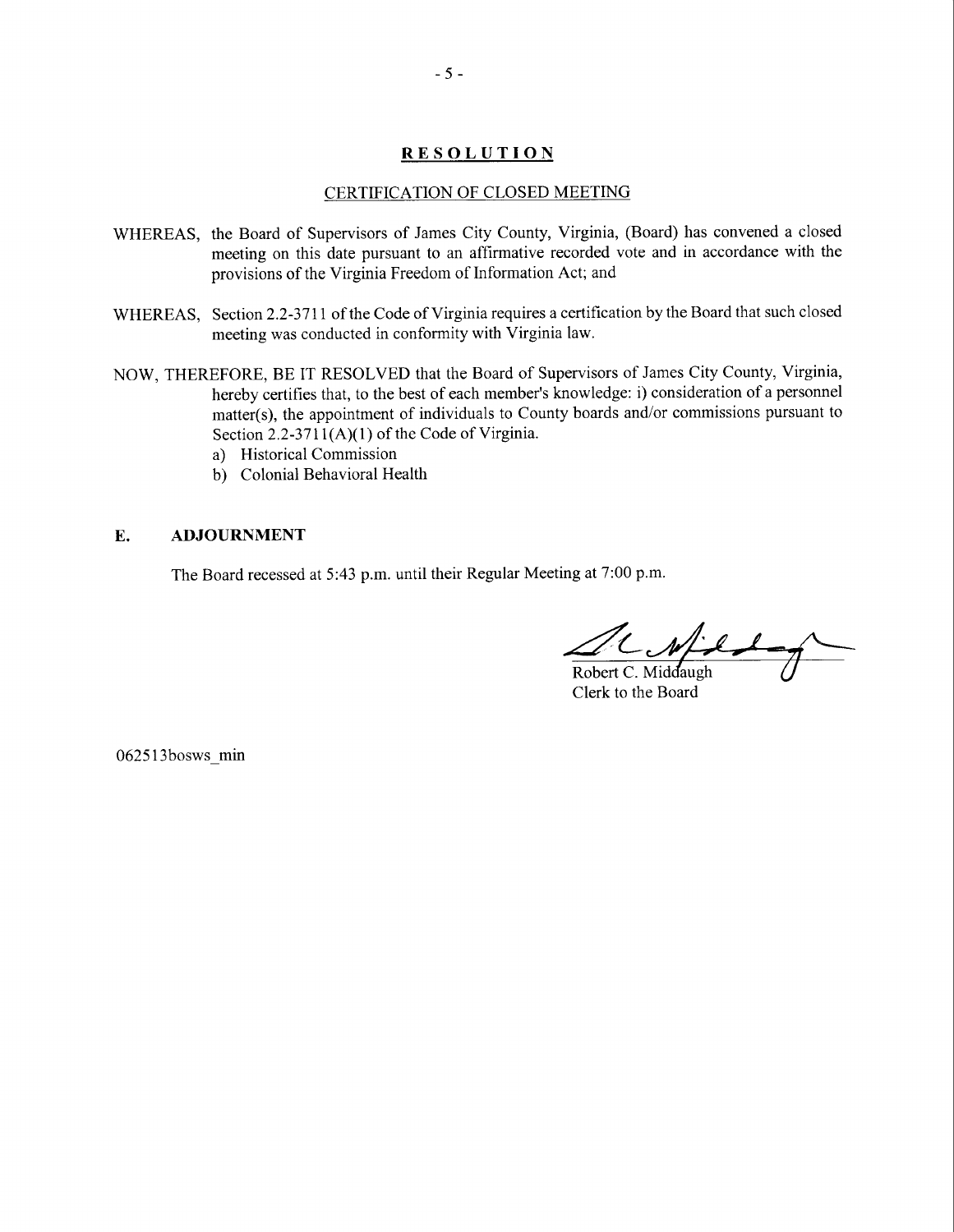#### **RESOLUTION**

#### CERTIFICATION OF CLOSED MEETING

- WHEREAS, the Board of Supervisors of James City County, Virginia, (Board) has convened a closed meeting on this date pursuant to an affirmative recorded vote and in accordance with the provisions of the Virginia Freedom of Information Act; and
- WHEREAS, Section 2.2-3711 of the Code of Virginia requires a certification by the Board that such closed meeting was conducted in conformity with Virginia law.
- NOW, THEREFORE, BE IT RESOLVED that the Board of Supervisors of James City County, Virginia, hereby certifies that, to the best of each member's knowledge: i) consideration of a personnel matter(s), the appointment of individuals to County boards and/or commissions pursuant to Section  $2.2 - 3711(A)(1)$  of the Code of Virginia.
	- a) Historical Commission
	- b) Colonial Behavioral Health

#### **E. ADJOURNMENT**

The Board recessed at 5:43 p.m. until their Regular Meeting at 7:00 p.m.

 $d$  . What  $\rightarrow$ 

Robert C. Middaugh Clerk to the Board

062513bosws min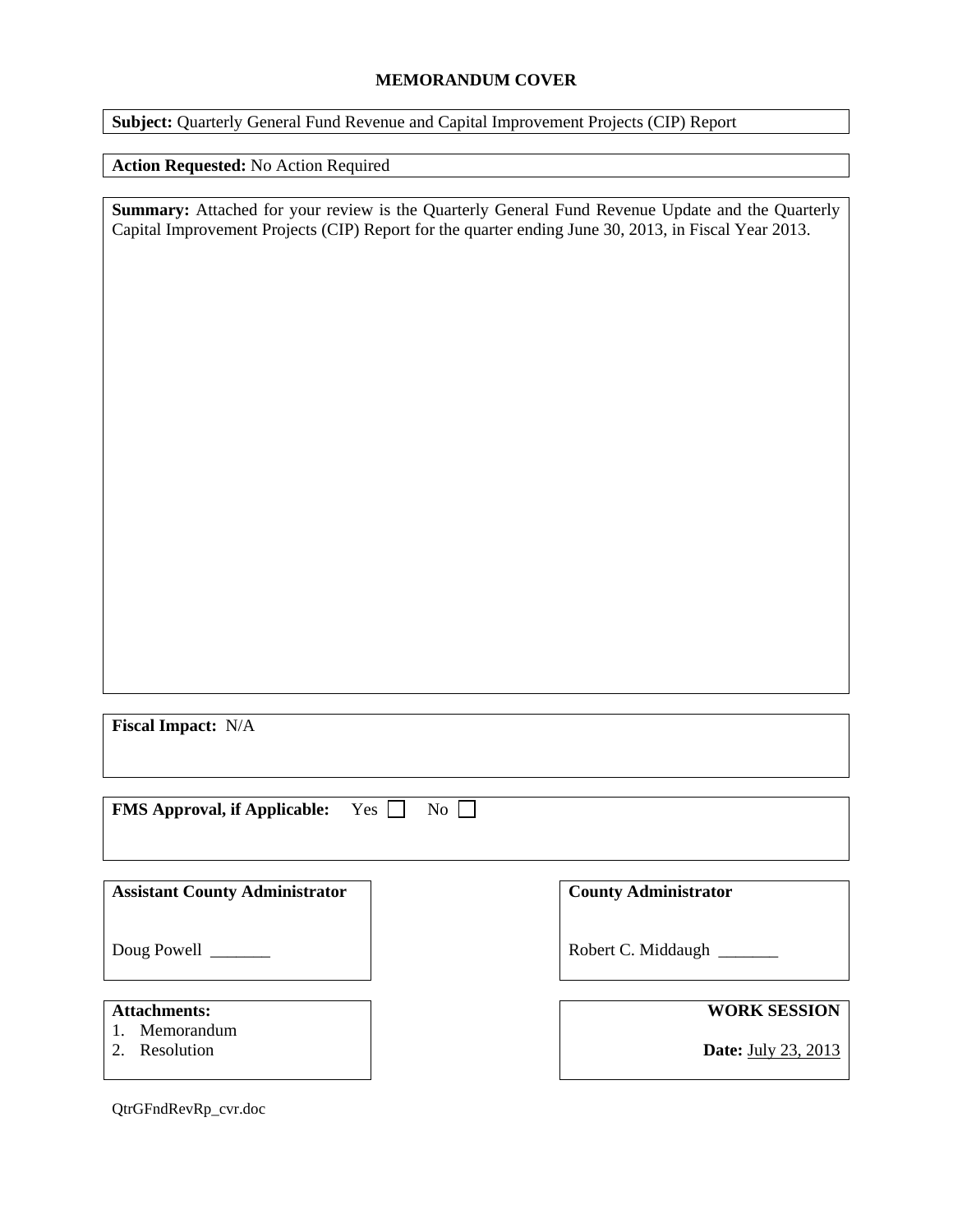#### **MEMORANDUM COVER**

**Subject:** Quarterly General Fund Revenue and Capital Improvement Projects (CIP) Report

**Action Requested:** No Action Required

**Summary:** Attached for your review is the Quarterly General Fund Revenue Update and the Quarterly Capital Improvement Projects (CIP) Report for the quarter ending June 30, 2013, in Fiscal Year 2013.

**Fiscal Impact:** N/A

**FMS Approval, if Applicable:** Yes  $\Box$  No  $\Box$ 

| <b>Assistant County Administrator</b>                 | <b>County Administrator</b>                       |
|-------------------------------------------------------|---------------------------------------------------|
|                                                       | Robert C. Middaugh                                |
| <b>Attachments:</b><br>1. Memorandum<br>2. Resolution | <b>WORK SESSION</b><br><b>Date:</b> July 23, 2013 |

QtrGFndRevRp\_cvr.doc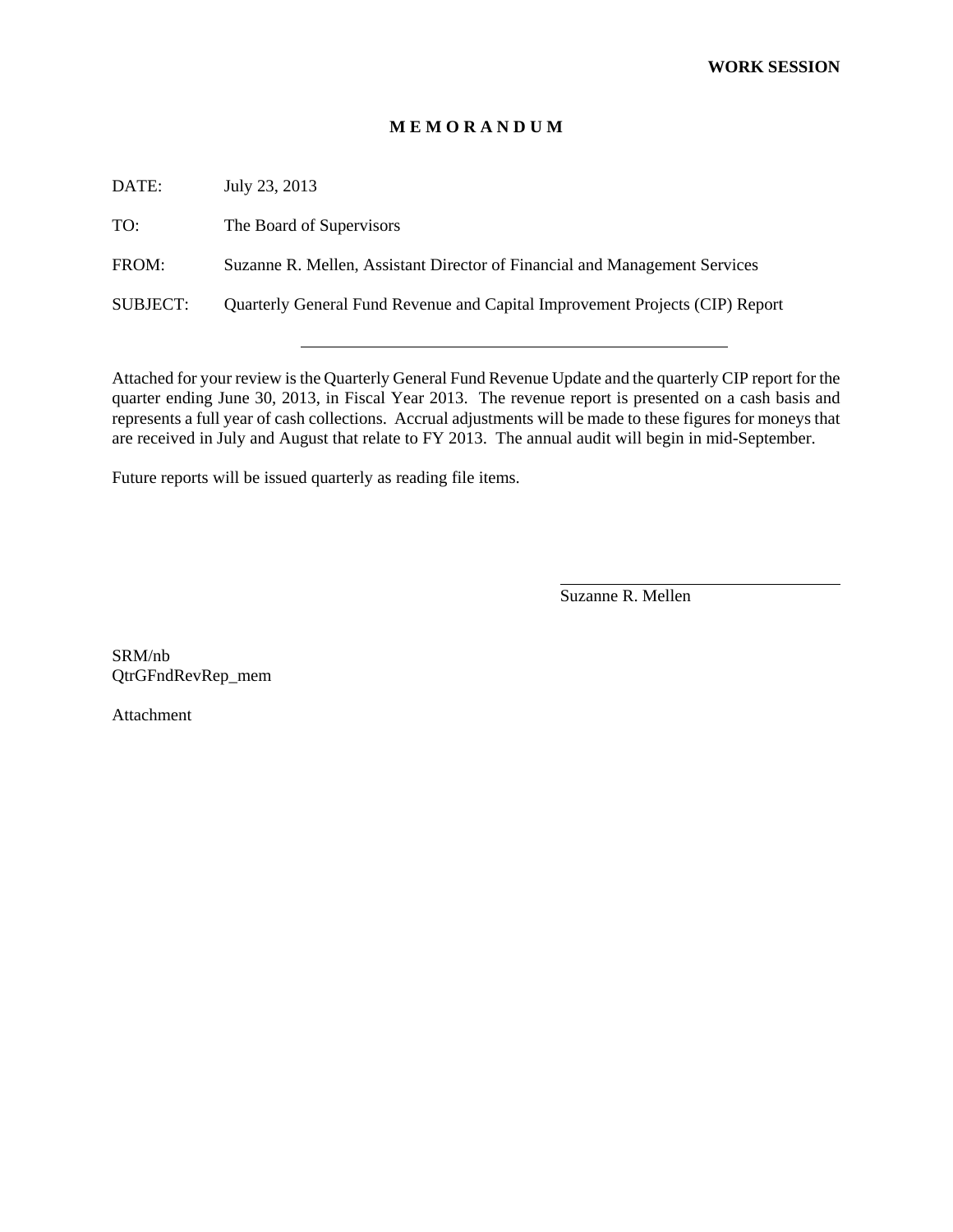#### **M E M O R A N D U M**

DATE: July 23, 2013

TO: The Board of Supervisors

FROM: Suzanne R. Mellen, Assistant Director of Financial and Management Services

SUBJECT: Quarterly General Fund Revenue and Capital Improvement Projects (CIP) Report

Attached for your review is the Quarterly General Fund Revenue Update and the quarterly CIP report for the quarter ending June 30, 2013, in Fiscal Year 2013. The revenue report is presented on a cash basis and represents a full year of cash collections. Accrual adjustments will be made to these figures for moneys that are received in July and August that relate to FY 2013. The annual audit will begin in mid-September.

Future reports will be issued quarterly as reading file items.

Suzanne R. Mellen

 $\overline{a}$ 

SRM/nb QtrGFndRevRep\_mem

Attachment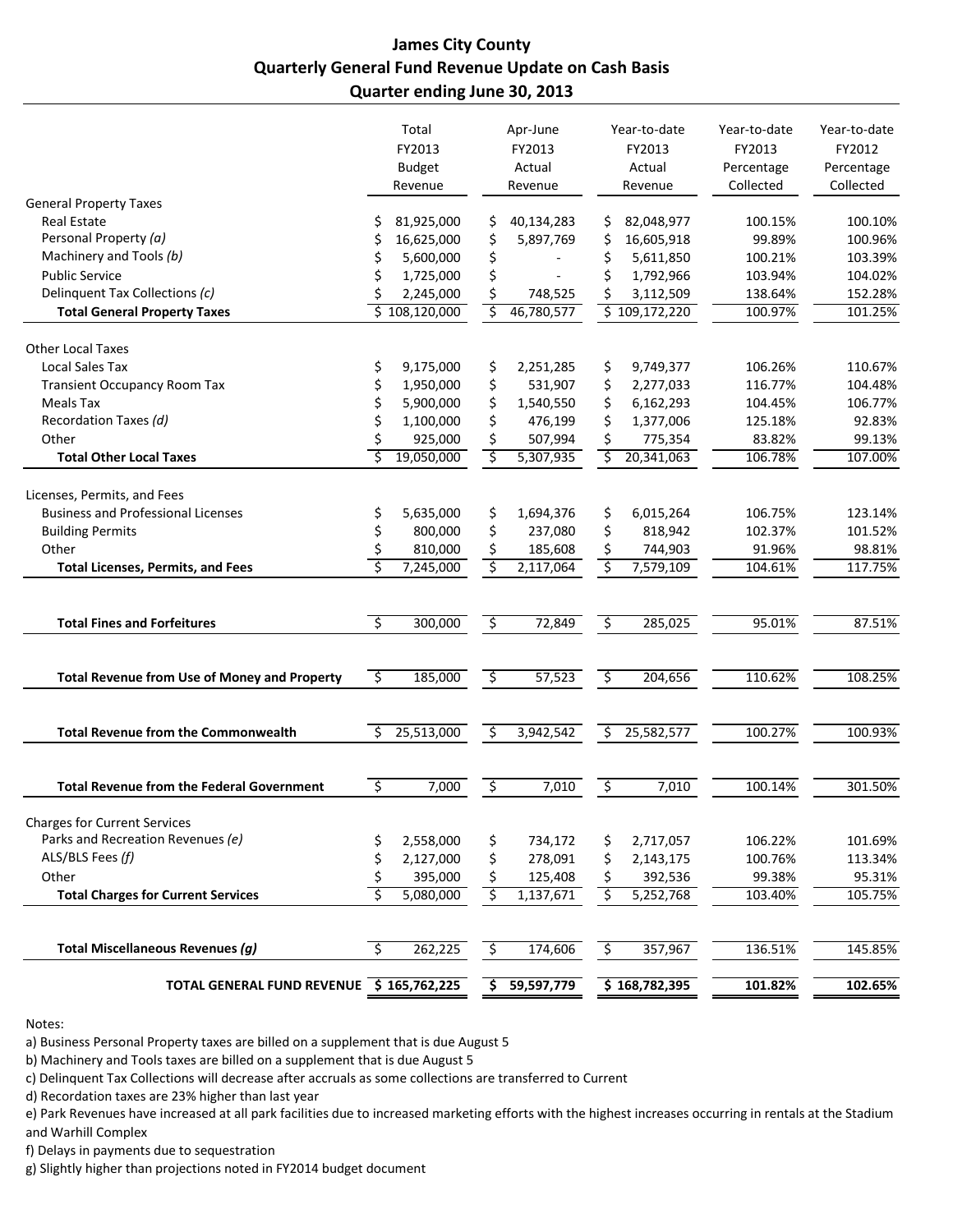### **James City County Quarterly General Fund Revenue Update on Cash Basis Quarter ending June 30, 2013**

|                                                     |                        | Total<br>FY2013<br><b>Budget</b><br>Revenue |                        | Apr-June<br>FY2013<br>Actual<br>Revenue |                         | Year-to-date<br>FY2013<br>Actual<br>Revenue | Year-to-date<br>FY2013<br>Percentage<br>Collected | Year-to-date<br>FY2012<br>Percentage<br>Collected |
|-----------------------------------------------------|------------------------|---------------------------------------------|------------------------|-----------------------------------------|-------------------------|---------------------------------------------|---------------------------------------------------|---------------------------------------------------|
| <b>General Property Taxes</b>                       |                        |                                             |                        |                                         |                         |                                             |                                                   |                                                   |
| <b>Real Estate</b>                                  |                        | 81,925,000                                  | \$                     | 40,134,283                              | \$                      | 82,048,977                                  | 100.15%                                           | 100.10%                                           |
| Personal Property (a)                               |                        | 16,625,000                                  | \$                     | 5,897,769                               | \$                      | 16,605,918                                  | 99.89%                                            | 100.96%                                           |
| Machinery and Tools (b)                             |                        | 5,600,000                                   | \$                     |                                         | \$                      | 5,611,850                                   | 100.21%                                           | 103.39%                                           |
| <b>Public Service</b>                               |                        | 1,725,000                                   | \$                     |                                         | \$                      | 1,792,966                                   | 103.94%                                           | 104.02%                                           |
| Delinquent Tax Collections (c)                      |                        | 2,245,000                                   | \$                     | 748,525                                 | \$                      | 3,112,509                                   | 138.64%                                           | 152.28%                                           |
| <b>Total General Property Taxes</b>                 |                        | \$108,120,000                               | \$                     | 46,780,577                              |                         | \$109,172,220                               | 100.97%                                           | 101.25%                                           |
| <b>Other Local Taxes</b>                            |                        |                                             |                        |                                         |                         |                                             |                                                   |                                                   |
| <b>Local Sales Tax</b>                              | \$                     | 9,175,000                                   | \$                     | 2,251,285                               | \$,                     | 9,749,377                                   | 106.26%                                           | 110.67%                                           |
| <b>Transient Occupancy Room Tax</b>                 | \$                     | 1,950,000                                   | \$                     | 531,907                                 | \$                      | 2,277,033                                   | 116.77%                                           | 104.48%                                           |
| <b>Meals Tax</b>                                    | \$                     | 5,900,000                                   | \$                     | 1,540,550                               | \$                      | 6,162,293                                   | 104.45%                                           | 106.77%                                           |
| Recordation Taxes (d)                               | \$                     | 1,100,000                                   | \$                     | 476,199                                 | \$                      | 1,377,006                                   | 125.18%                                           | 92.83%                                            |
| Other                                               |                        | 925,000                                     | \$                     | 507,994                                 | \$                      | 775,354                                     | 83.82%                                            | 99.13%                                            |
| <b>Total Other Local Taxes</b>                      |                        | 19,050,000                                  | \$                     | 5,307,935                               | Ś.                      | 20,341,063                                  | 106.78%                                           | 107.00%                                           |
| Licenses, Permits, and Fees                         |                        |                                             |                        |                                         |                         |                                             |                                                   |                                                   |
| <b>Business and Professional Licenses</b>           | \$                     | 5,635,000                                   | \$                     | 1,694,376                               | \$                      | 6,015,264                                   | 106.75%                                           | 123.14%                                           |
| <b>Building Permits</b>                             | \$                     | 800,000                                     | \$                     | 237,080                                 | \$                      | 818,942                                     | 102.37%                                           | 101.52%                                           |
| Other                                               | \$                     | 810,000                                     | \$                     | 185,608                                 | \$                      | 744,903                                     | 91.96%                                            | 98.81%                                            |
| <b>Total Licenses, Permits, and Fees</b>            | Ś                      | 7,245,000                                   | $\overline{\varsigma}$ | 2,117,064                               | \$                      | 7,579,109                                   | 104.61%                                           | 117.75%                                           |
|                                                     |                        |                                             |                        |                                         |                         |                                             |                                                   |                                                   |
| <b>Total Fines and Forfeitures</b>                  | र                      | 300,000                                     | $\overline{\varsigma}$ | 72,849                                  | $\overline{\mathsf{S}}$ | 285,025                                     | 95.01%                                            | 87.51%                                            |
| <b>Total Revenue from Use of Money and Property</b> | ॱऽ                     | 185,000                                     | \$                     | 57,523                                  | ेंद्र                   | 204,656                                     | 110.62%                                           | 108.25%                                           |
| <b>Total Revenue from the Commonwealth</b>          | Ŝ.                     | 25,513,000                                  | \$                     | 3,942,542                               | \$                      | 25,582,577                                  | 100.27%                                           | 100.93%                                           |
| <b>Total Revenue from the Federal Government</b>    | \$                     | 7,000                                       | \$                     | 7,010                                   | ٠,                      | 7,010                                       | 100.14%                                           | 301.50%                                           |
| <b>Charges for Current Services</b>                 |                        |                                             |                        |                                         |                         |                                             |                                                   |                                                   |
| Parks and Recreation Revenues (e)                   | \$                     | 2,558,000                                   | \$                     | 734,172                                 | \$                      | 2,717,057                                   | 106.22%                                           | 101.69%                                           |
| ALS/BLS Fees (f)                                    | \$                     | 2,127,000                                   | \$                     | 278,091                                 | \$                      | 2,143,175                                   | 100.76%                                           | 113.34%                                           |
| Other                                               |                        | 395,000                                     | \$                     | 125,408                                 | \$                      | 392,536                                     | 99.38%                                            | 95.31%                                            |
| <b>Total Charges for Current Services</b>           |                        | 5,080,000                                   | \$                     | 1,137,671                               | $\overline{\varsigma}$  | 5,252,768                                   | 103.40%                                           | 105.75%                                           |
| Total Miscellaneous Revenues (g)                    | $\overline{\varsigma}$ | 262,225                                     | $\zeta$                | 174,606                                 | $\overline{\xi}$        | 357,967                                     | 136.51%                                           | 145.85%                                           |
|                                                     |                        |                                             |                        |                                         |                         |                                             |                                                   |                                                   |
| TOTAL GENERAL FUND REVENUE \$165,762,225            |                        |                                             | \$                     | 59,597,779                              |                         | \$168,782,395                               | 101.82%                                           | 102.65%                                           |

Notes:

a) Business Personal Property taxes are billed on a supplement that is due August 5

b) Machinery and Tools taxes are billed on a supplement that is due August 5

c) Delinquent Tax Collections will decrease after accruals as some collections are transferred to Current

d) Recordation taxes are 23% higher than last year

e) Park Revenues have increased at all park facilities due to increased marketing efforts with the highest increases occurring in rentals at the Stadium and Warhill Complex

f) Delays in payments due to sequestration

g) Slightly higher than projections noted in FY2014 budget document